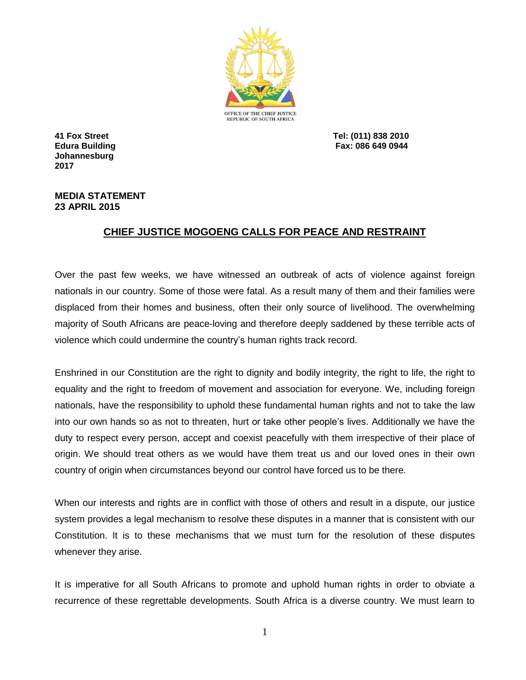

**Johannesburg 2017**

**41 Fox Street Tel: (011) 838 2010 Edura Building Fax: 086 649 0944**

## **MEDIA STATEMENT 23 APRIL 2015**

## **CHIEF JUSTICE MOGOENG CALLS FOR PEACE AND RESTRAINT**

Over the past few weeks, we have witnessed an outbreak of acts of violence against foreign nationals in our country. Some of those were fatal. As a result many of them and their families were displaced from their homes and business, often their only source of livelihood. The overwhelming majority of South Africans are peace-loving and therefore deeply saddened by these terrible acts of violence which could undermine the country's human rights track record.

Enshrined in our Constitution are the right to dignity and bodily integrity, the right to life, the right to equality and the right to freedom of movement and association for everyone. We, including foreign nationals, have the responsibility to uphold these fundamental human rights and not to take the law into our own hands so as not to threaten, hurt or take other people's lives. Additionally we have the duty to respect every person, accept and coexist peacefully with them irrespective of their place of origin. We should treat others as we would have them treat us and our loved ones in their own country of origin when circumstances beyond our control have forced us to be there.

When our interests and rights are in conflict with those of others and result in a dispute, our justice system provides a legal mechanism to resolve these disputes in a manner that is consistent with our Constitution. It is to these mechanisms that we must turn for the resolution of these disputes whenever they arise.

It is imperative for all South Africans to promote and uphold human rights in order to obviate a recurrence of these regrettable developments. South Africa is a diverse country. We must learn to